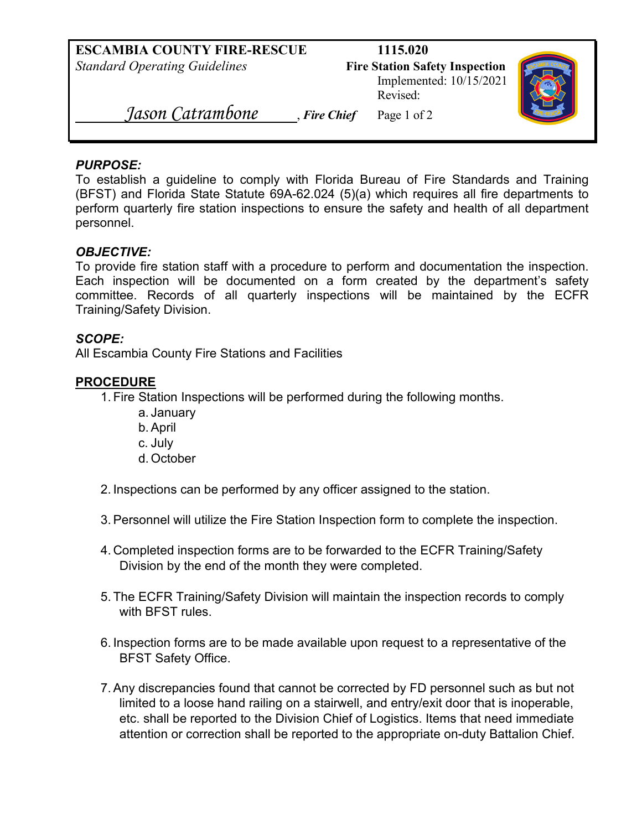Implemented: 10/15/2021 Revised:



 *Jason Catrambone* , *Fire Chief* Page 1 of 2

## *PURPOSE:*

To establish a guideline to comply with Florida Bureau of Fire Standards and Training (BFST) and Florida State Statute 69A-62.024 (5)(a) which requires all fire departments to perform quarterly fire station inspections to ensure the safety and health of all department personnel.

## *OBJECTIVE:*

To provide fire station staff with a procedure to perform and documentation the inspection. Each inspection will be documented on a form created by the department's safety committee. Records of all quarterly inspections will be maintained by the ECFR Training/Safety Division.

## *SCOPE:*

All Escambia County Fire Stations and Facilities

## **PROCEDURE**

- 1. Fire Station Inspections will be performed during the following months.
	- a. January
	- b.April
	- c. July
	- d. October
- 2. Inspections can be performed by any officer assigned to the station.
- 3.Personnel will utilize the Fire Station Inspection form to complete the inspection.
- 4. Completed inspection forms are to be forwarded to the ECFR Training/Safety Division by the end of the month they were completed.
- 5. The ECFR Training/Safety Division will maintain the inspection records to comply with BFST rules.
- 6. Inspection forms are to be made available upon request to a representative of the BFST Safety Office.
- 7.Any discrepancies found that cannot be corrected by FD personnel such as but not limited to a loose hand railing on a stairwell, and entry/exit door that is inoperable, etc. shall be reported to the Division Chief of Logistics. Items that need immediate attention or correction shall be reported to the appropriate on-duty Battalion Chief.